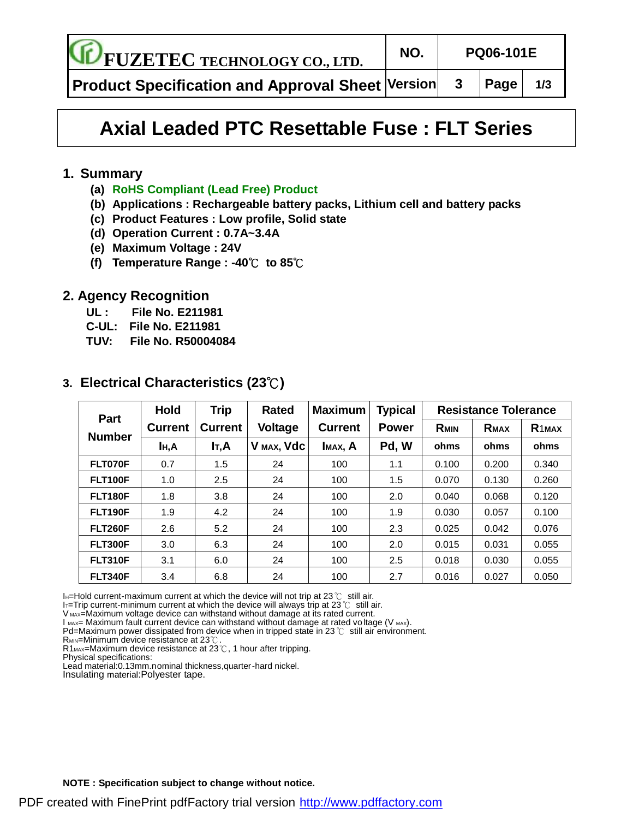**FUZETEC TECHNOLOGY CO., LTD. NO. PQ06-101E**

**Product Specification and Approval Sheet Version 3 Page 1/3**

# **Axial Leaded PTC Resettable Fuse : FLT Series**

#### **1. Summary**

- **(a) RoHS Compliant (Lead Free) Product**
- **(b) Applications : Rechargeable battery packs, Lithium cell and battery packs**
- **(c) Product Features : Low profile, Solid state**
- **(d) Operation Current : 0.7A~3.4A**
- **(e) Maximum Voltage : 24V**
- **(f) Temperature Range : -40**℃ **to 85**℃

#### **2. Agency Recognition**

- **UL : File No. E211981**
- **C-UL: File No. E211981**
- **TUV: File No. R50004084**

| <b>Part</b><br><b>Number</b> | <b>Hold</b>      | <b>Trip</b>    | <b>Rated</b> | <b>Maximum</b> | <b>Typical</b> | <b>Resistance Tolerance</b> |             |                   |  |
|------------------------------|------------------|----------------|--------------|----------------|----------------|-----------------------------|-------------|-------------------|--|
|                              | <b>Current</b>   | <b>Current</b> | Voltage      | <b>Current</b> | <b>Power</b>   | <b>RMIN</b>                 | <b>RMAX</b> | R <sub>1MAX</sub> |  |
|                              | I <sub>H</sub> A | IT,A           | V MAX, Vdc   | IMAX, A        | Pd, W          | ohms                        | ohms        | ohms              |  |
| FLT070F                      | 0.7              | 1.5            | 24           | 100            | 1.1            | 0.100                       | 0.200       | 0.340             |  |
| <b>FLT100F</b>               | 1.0              | 2.5            | 24           | 100            | 1.5            | 0.070                       | 0.130       | 0.260             |  |
| <b>FLT180F</b>               | 1.8              | 3.8            | 24           | 100            | 2.0            | 0.040                       | 0.068       | 0.120             |  |
| <b>FLT190F</b>               | 1.9              | 4.2            | 24           | 100            | 1.9            | 0.030                       | 0.057       | 0.100             |  |
| <b>FLT260F</b>               | 2.6              | 5.2            | 24           | 100            | 2.3            | 0.025                       | 0.042       | 0.076             |  |
| <b>FLT300F</b>               | 3.0              | 6.3            | 24           | 100            | 2.0            | 0.015                       | 0.031       | 0.055             |  |
| <b>FLT310F</b>               | 3.1              | 6.0            | 24           | 100            | 2.5            | 0.018                       | 0.030       | 0.055             |  |
| <b>FLT340F</b>               | 3.4              | 6.8            | 24           | 100            | 2.7            | 0.016                       | 0.027       | 0.050             |  |

#### **3. Electrical Characteristics (23**℃**)**

I $_H$ =Hold current-maximum current at which the device will not trip at 23℃ still air.

IT=Trip current-minimum current at which the device will always trip at 23  $\degree$  still air.

V MAX=Maximum voltage device can withstand without damage at its rated current.

 $I_{MAX}$ = Maximum fault current device can withstand without damage at rated voltage (V  $_{MAX}$ ).

Pd=Maximum power dissipated from device when in tripped state in 23 ℃ still air environment.

**RMIN=Minimum device resistance at 23℃** 

R1<sub>MAX</sub>=Maximum device resistance at 23℃, 1 hour after tripping.

Physical specifications:

Lead material:0.13mm.nominal thickness,quarter-hard nickel.

Insulating material:Polyester tape.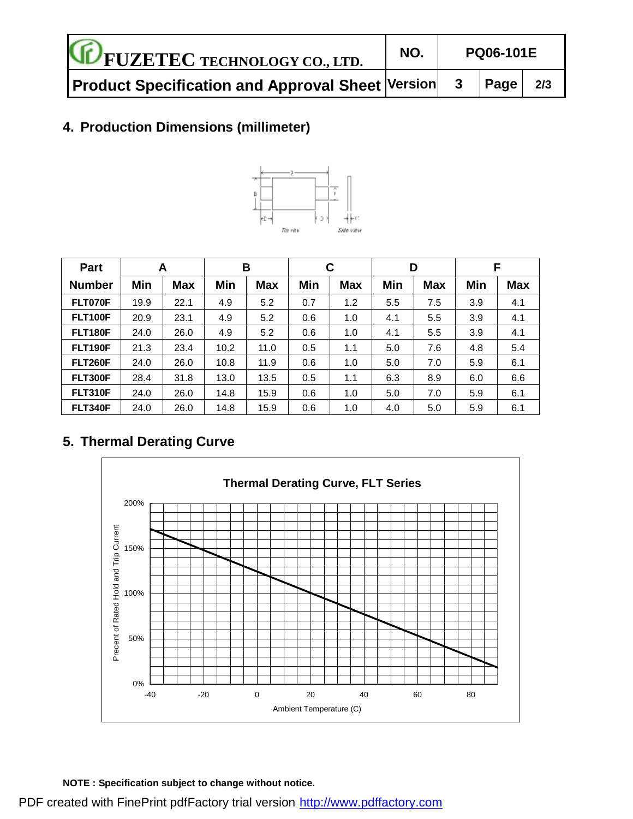| <b>FUZETEC TECHNOLOGY CO., LTD.</b>                | NO. | <b>PQ06-101E</b> |     |  |  |
|----------------------------------------------------|-----|------------------|-----|--|--|
| Product Specification and Approval Sheet Version 3 |     | $ $ Page $ $     | 2/3 |  |  |

# **4. Production Dimensions (millimeter)**



| Part           | A    |            | B    |            | C   |            | D   |            | F   |            |
|----------------|------|------------|------|------------|-----|------------|-----|------------|-----|------------|
| <b>Number</b>  | Min  | <b>Max</b> | Min  | <b>Max</b> | Min | <b>Max</b> | Min | <b>Max</b> | Min | <b>Max</b> |
| FLT070F        | 19.9 | 22.1       | 4.9  | 5.2        | 0.7 | 1.2        | 5.5 | 7.5        | 3.9 | 4.1        |
| <b>FLT100F</b> | 20.9 | 23.1       | 4.9  | 5.2        | 0.6 | 1.0        | 4.1 | 5.5        | 3.9 | 4.1        |
| <b>FLT180F</b> | 24.0 | 26.0       | 4.9  | 5.2        | 0.6 | 1.0        | 4.1 | 5.5        | 3.9 | 4.1        |
| <b>FLT190F</b> | 21.3 | 23.4       | 10.2 | 11.0       | 0.5 | 1.1        | 5.0 | 7.6        | 4.8 | 5.4        |
| <b>FLT260F</b> | 24.0 | 26.0       | 10.8 | 11.9       | 0.6 | 1.0        | 5.0 | 7.0        | 5.9 | 6.1        |
| <b>FLT300F</b> | 28.4 | 31.8       | 13.0 | 13.5       | 0.5 | 1.1        | 6.3 | 8.9        | 6.0 | 6.6        |
| <b>FLT310F</b> | 24.0 | 26.0       | 14.8 | 15.9       | 0.6 | 1.0        | 5.0 | 7.0        | 5.9 | 6.1        |
| <b>FLT340F</b> | 24.0 | 26.0       | 14.8 | 15.9       | 0.6 | 1.0        | 4.0 | 5.0        | 5.9 | 6.1        |

# **5. Thermal Derating Curve**



**NOTE : Specification subject to change without notice.**

PDF created with FinePrint pdfFactory trial version <http://www.pdffactory.com>